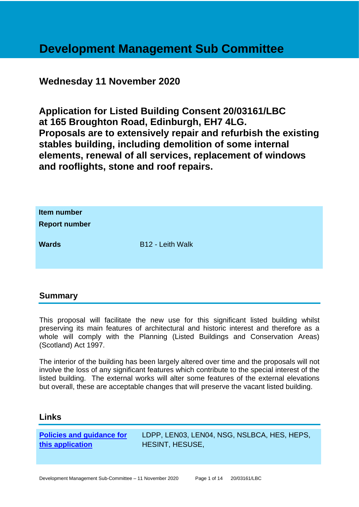# **Development Management Sub Committee**

# **Wednesday 11 November 2020**

**Application for Listed Building Consent 20/03161/LBC at 165 Broughton Road, Edinburgh, EH7 4LG. Proposals are to extensively repair and refurbish the existing stables building, including demolition of some internal elements, renewal of all services, replacement of windows and rooflights, stone and roof repairs.**

| Item number<br><b>Report number</b> |                  |
|-------------------------------------|------------------|
| <b>Wards</b>                        | B12 - Leith Walk |

# **Summary**

This proposal will facilitate the new use for this significant listed building whilst preserving its main features of architectural and historic interest and therefore as a whole will comply with the Planning (Listed Buildings and Conservation Areas) (Scotland) Act 1997.

The interior of the building has been largely altered over time and the proposals will not involve the loss of any significant features which contribute to the special interest of the listed building. The external works will alter some features of the external elevations but overall, these are acceptable changes that will preserve the vacant listed building.

### **Links**

**[Policies and guidance for](file:///C:/uniform/temp/uf04148.rtf%23Policies)  [this application](file:///C:/uniform/temp/uf04148.rtf%23Policies)**

LDPP, LEN03, LEN04, NSG, NSLBCA, HES, HEPS, HESINT, HESUSE,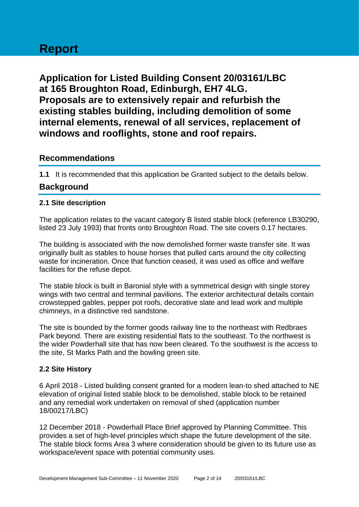# **Report**

**Application for Listed Building Consent 20/03161/LBC at 165 Broughton Road, Edinburgh, EH7 4LG. Proposals are to extensively repair and refurbish the existing stables building, including demolition of some internal elements, renewal of all services, replacement of windows and rooflights, stone and roof repairs.**

# **Recommendations**

**1.1** It is recommended that this application be Granted subject to the details below.

# **Background**

# **2.1 Site description**

The application relates to the vacant category B listed stable block (reference LB30290, listed 23 July 1993) that fronts onto Broughton Road. The site covers 0.17 hectares.

The building is associated with the now demolished former waste transfer site. It was originally built as stables to house horses that pulled carts around the city collecting waste for incineration. Once that function ceased, it was used as office and welfare facilities for the refuse depot.

The stable block is built in Baronial style with a symmetrical design with single storey wings with two central and terminal pavilions. The exterior architectural details contain crowstepped gables, pepper pot roofs, decorative slate and lead work and multiple chimneys, in a distinctive red sandstone.

The site is bounded by the former goods railway line to the northeast with Redbraes Park beyond. There are existing residential flats to the southeast. To the northwest is the wider Powderhall site that has now been cleared. To the southwest is the access to the site, St Marks Path and the bowling green site.

# **2.2 Site History**

6 April 2018 - Listed building consent granted for a modern lean-to shed attached to NE elevation of original listed stable block to be demolished, stable block to be retained and any remedial work undertaken on removal of shed (application number 18/00217/LBC)

12 December 2018 - Powderhall Place Brief approved by Planning Committee. This provides a set of high-level principles which shape the future development of the site. The stable block forms Area 3 where consideration should be given to its future use as workspace/event space with potential community uses.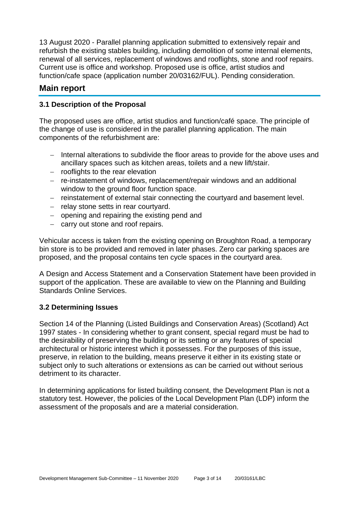13 August 2020 - Parallel planning application submitted to extensively repair and refurbish the existing stables building, including demolition of some internal elements, renewal of all services, replacement of windows and rooflights, stone and roof repairs. Current use is office and workshop. Proposed use is office, artist studios and function/cafe space (application number 20/03162/FUL). Pending consideration.

# **Main report**

# **3.1 Description of the Proposal**

The proposed uses are office, artist studios and function/café space. The principle of the change of use is considered in the parallel planning application. The main components of the refurbishment are:

- − Internal alterations to subdivide the floor areas to provide for the above uses and ancillary spaces such as kitchen areas, toilets and a new lift/stair.
- − rooflights to the rear elevation
- − re-instatement of windows, replacement/repair windows and an additional window to the ground floor function space.
- − reinstatement of external stair connecting the courtyard and basement level.
- − relay stone setts in rear courtyard.
- − opening and repairing the existing pend and
- − carry out stone and roof repairs.

Vehicular access is taken from the existing opening on Broughton Road, a temporary bin store is to be provided and removed in later phases. Zero car parking spaces are proposed, and the proposal contains ten cycle spaces in the courtyard area.

A Design and Access Statement and a Conservation Statement have been provided in support of the application. These are available to view on the Planning and Building Standards Online Services.

# **3.2 Determining Issues**

Section 14 of the Planning (Listed Buildings and Conservation Areas) (Scotland) Act 1997 states - In considering whether to grant consent, special regard must be had to the desirability of preserving the building or its setting or any features of special architectural or historic interest which it possesses. For the purposes of this issue, preserve, in relation to the building, means preserve it either in its existing state or subject only to such alterations or extensions as can be carried out without serious detriment to its character.

In determining applications for listed building consent, the Development Plan is not a statutory test. However, the policies of the Local Development Plan (LDP) inform the assessment of the proposals and are a material consideration.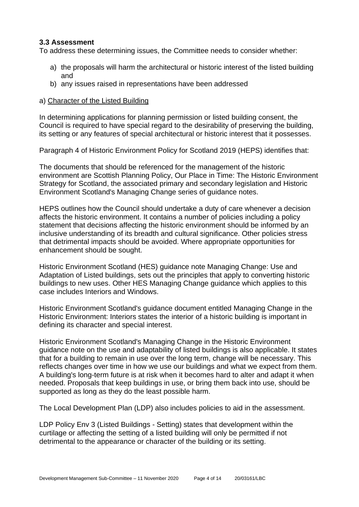# **3.3 Assessment**

To address these determining issues, the Committee needs to consider whether:

- a) the proposals will harm the architectural or historic interest of the listed building and
- b) any issues raised in representations have been addressed

#### a) Character of the Listed Building

In determining applications for planning permission or listed building consent, the Council is required to have special regard to the desirability of preserving the building, its setting or any features of special architectural or historic interest that it possesses.

Paragraph 4 of Historic Environment Policy for Scotland 2019 (HEPS) identifies that:

The documents that should be referenced for the management of the historic environment are Scottish Planning Policy, Our Place in Time: The Historic Environment Strategy for Scotland, the associated primary and secondary legislation and Historic Environment Scotland's Managing Change series of guidance notes.

HEPS outlines how the Council should undertake a duty of care whenever a decision affects the historic environment. It contains a number of policies including a policy statement that decisions affecting the historic environment should be informed by an inclusive understanding of its breadth and cultural significance. Other policies stress that detrimental impacts should be avoided. Where appropriate opportunities for enhancement should be sought.

Historic Environment Scotland (HES) guidance note Managing Change: Use and Adaptation of Listed buildings, sets out the principles that apply to converting historic buildings to new uses. Other HES Managing Change guidance which applies to this case includes Interiors and Windows.

Historic Environment Scotland's guidance document entitled Managing Change in the Historic Environment: Interiors states the interior of a historic building is important in defining its character and special interest.

Historic Environment Scotland's Managing Change in the Historic Environment guidance note on the use and adaptability of listed buildings is also applicable. It states that for a building to remain in use over the long term, change will be necessary. This reflects changes over time in how we use our buildings and what we expect from them. A building's long-term future is at risk when it becomes hard to alter and adapt it when needed. Proposals that keep buildings in use, or bring them back into use, should be supported as long as they do the least possible harm.

The Local Development Plan (LDP) also includes policies to aid in the assessment.

LDP Policy Env 3 (Listed Buildings - Setting) states that development within the curtilage or affecting the setting of a listed building will only be permitted if not detrimental to the appearance or character of the building or its setting.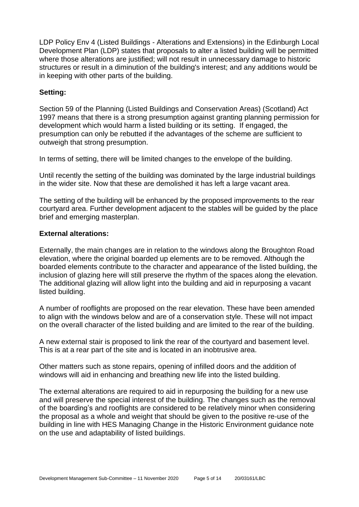LDP Policy Env 4 (Listed Buildings - Alterations and Extensions) in the Edinburgh Local Development Plan (LDP) states that proposals to alter a listed building will be permitted where those alterations are justified; will not result in unnecessary damage to historic structures or result in a diminution of the building's interest; and any additions would be in keeping with other parts of the building.

# **Setting:**

Section 59 of the Planning (Listed Buildings and Conservation Areas) (Scotland) Act 1997 means that there is a strong presumption against granting planning permission for development which would harm a listed building or its setting. If engaged, the presumption can only be rebutted if the advantages of the scheme are sufficient to outweigh that strong presumption.

In terms of setting, there will be limited changes to the envelope of the building.

Until recently the setting of the building was dominated by the large industrial buildings in the wider site. Now that these are demolished it has left a large vacant area.

The setting of the building will be enhanced by the proposed improvements to the rear courtyard area. Further development adjacent to the stables will be guided by the place brief and emerging masterplan.

### **External alterations:**

Externally, the main changes are in relation to the windows along the Broughton Road elevation, where the original boarded up elements are to be removed. Although the boarded elements contribute to the character and appearance of the listed building, the inclusion of glazing here will still preserve the rhythm of the spaces along the elevation. The additional glazing will allow light into the building and aid in repurposing a vacant listed building.

A number of rooflights are proposed on the rear elevation. These have been amended to align with the windows below and are of a conservation style. These will not impact on the overall character of the listed building and are limited to the rear of the building.

A new external stair is proposed to link the rear of the courtyard and basement level. This is at a rear part of the site and is located in an inobtrusive area.

Other matters such as stone repairs, opening of infilled doors and the addition of windows will aid in enhancing and breathing new life into the listed building.

The external alterations are required to aid in repurposing the building for a new use and will preserve the special interest of the building. The changes such as the removal of the boarding's and rooflights are considered to be relatively minor when considering the proposal as a whole and weight that should be given to the positive re-use of the building in line with HES Managing Change in the Historic Environment guidance note on the use and adaptability of listed buildings.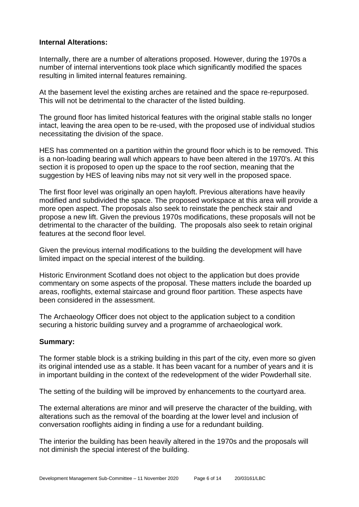# **Internal Alterations:**

Internally, there are a number of alterations proposed. However, during the 1970s a number of internal interventions took place which significantly modified the spaces resulting in limited internal features remaining.

At the basement level the existing arches are retained and the space re-repurposed. This will not be detrimental to the character of the listed building.

The ground floor has limited historical features with the original stable stalls no longer intact, leaving the area open to be re-used, with the proposed use of individual studios necessitating the division of the space.

HES has commented on a partition within the ground floor which is to be removed. This is a non-loading bearing wall which appears to have been altered in the 1970's. At this section it is proposed to open up the space to the roof section, meaning that the suggestion by HES of leaving nibs may not sit very well in the proposed space.

The first floor level was originally an open hayloft. Previous alterations have heavily modified and subdivided the space. The proposed workspace at this area will provide a more open aspect. The proposals also seek to reinstate the pencheck stair and propose a new lift. Given the previous 1970s modifications, these proposals will not be detrimental to the character of the building. The proposals also seek to retain original features at the second floor level.

Given the previous internal modifications to the building the development will have limited impact on the special interest of the building.

Historic Environment Scotland does not object to the application but does provide commentary on some aspects of the proposal. These matters include the boarded up areas, rooflights, external staircase and ground floor partition. These aspects have been considered in the assessment.

The Archaeology Officer does not object to the application subject to a condition securing a historic building survey and a programme of archaeological work.

### **Summary:**

The former stable block is a striking building in this part of the city, even more so given its original intended use as a stable. It has been vacant for a number of years and it is in important building in the context of the redevelopment of the wider Powderhall site.

The setting of the building will be improved by enhancements to the courtyard area.

The external alterations are minor and will preserve the character of the building, with alterations such as the removal of the boarding at the lower level and inclusion of conversation rooflights aiding in finding a use for a redundant building.

The interior the building has been heavily altered in the 1970s and the proposals will not diminish the special interest of the building.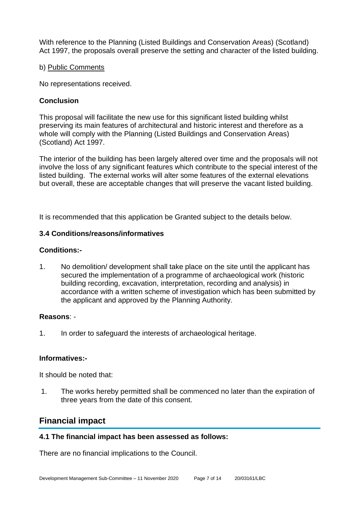With reference to the Planning (Listed Buildings and Conservation Areas) (Scotland) Act 1997, the proposals overall preserve the setting and character of the listed building.

#### b) Public Comments

No representations received.

# **Conclusion**

This proposal will facilitate the new use for this significant listed building whilst preserving its main features of architectural and historic interest and therefore as a whole will comply with the Planning (Listed Buildings and Conservation Areas) (Scotland) Act 1997.

The interior of the building has been largely altered over time and the proposals will not involve the loss of any significant features which contribute to the special interest of the listed building. The external works will alter some features of the external elevations but overall, these are acceptable changes that will preserve the vacant listed building.

It is recommended that this application be Granted subject to the details below.

### **3.4 Conditions/reasons/informatives**

#### **Conditions:-**

1. No demolition/ development shall take place on the site until the applicant has secured the implementation of a programme of archaeological work (historic building recording, excavation, interpretation, recording and analysis) in accordance with a written scheme of investigation which has been submitted by the applicant and approved by the Planning Authority.

#### **Reasons**: -

1. In order to safeguard the interests of archaeological heritage.

#### **Informatives:-**

It should be noted that:

1. The works hereby permitted shall be commenced no later than the expiration of three years from the date of this consent.

# **Financial impact**

### **4.1 The financial impact has been assessed as follows:**

There are no financial implications to the Council.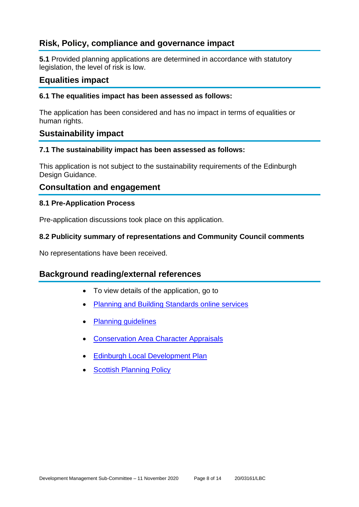# **Risk, Policy, compliance and governance impact**

**5.1** Provided planning applications are determined in accordance with statutory legislation, the level of risk is low.

# **Equalities impact**

#### **6.1 The equalities impact has been assessed as follows:**

The application has been considered and has no impact in terms of equalities or human rights.

# **Sustainability impact**

#### **7.1 The sustainability impact has been assessed as follows:**

This application is not subject to the sustainability requirements of the Edinburgh Design Guidance.

# **Consultation and engagement**

### **8.1 Pre-Application Process**

Pre-application discussions took place on this application.

### **8.2 Publicity summary of representations and Community Council comments**

No representations have been received.

# **Background reading/external references**

- To view details of the application, go to
- [Planning and Building Standards online services](https://citydev-portal.edinburgh.gov.uk/idoxpa-web/search.do?action=simple&searchType=Application)
- [Planning guidelines](http://www.edinburgh.gov.uk/planningguidelines)
- [Conservation Area Character Appraisals](http://www.edinburgh.gov.uk/characterappraisals)
- [Edinburgh Local Development Plan](http://www.edinburgh.gov.uk/localdevelopmentplan)
- **[Scottish Planning Policy](http://www.scotland.gov.uk/Topics/Built-Environment/planning/Policy)**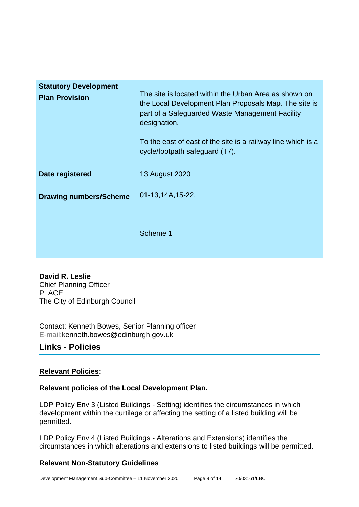| <b>Statutory Development</b>  |                                                                                                                                                                                   |
|-------------------------------|-----------------------------------------------------------------------------------------------------------------------------------------------------------------------------------|
| <b>Plan Provision</b>         | The site is located within the Urban Area as shown on<br>the Local Development Plan Proposals Map. The site is<br>part of a Safeguarded Waste Management Facility<br>designation. |
|                               | To the east of east of the site is a railway line which is a<br>cycle/footpath safeguard (T7).                                                                                    |
| Date registered               | 13 August 2020                                                                                                                                                                    |
| <b>Drawing numbers/Scheme</b> | 01-13,14A,15-22,                                                                                                                                                                  |
|                               | Scheme 1                                                                                                                                                                          |

**David R. Leslie** Chief Planning Officer PLACE The City of Edinburgh Council

Contact: Kenneth Bowes, Senior Planning officer E-mail:kenneth.bowes@edinburgh.gov.uk

# **Links - Policies**

# **Relevant Policies:**

# **Relevant policies of the Local Development Plan.**

LDP Policy Env 3 (Listed Buildings - Setting) identifies the circumstances in which development within the curtilage or affecting the setting of a listed building will be permitted.

LDP Policy Env 4 (Listed Buildings - Alterations and Extensions) identifies the circumstances in which alterations and extensions to listed buildings will be permitted.

# **Relevant Non-Statutory Guidelines**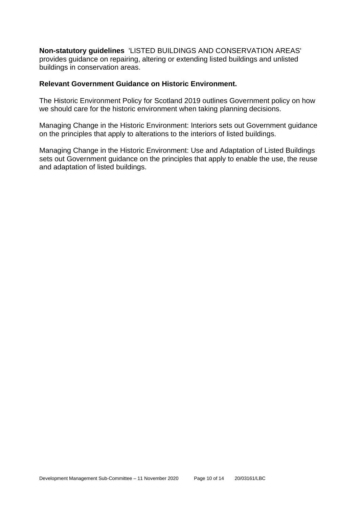**Non-statutory guidelines** 'LISTED BUILDINGS AND CONSERVATION AREAS' provides guidance on repairing, altering or extending listed buildings and unlisted buildings in conservation areas.

#### **Relevant Government Guidance on Historic Environment.**

The Historic Environment Policy for Scotland 2019 outlines Government policy on how we should care for the historic environment when taking planning decisions.

Managing Change in the Historic Environment: Interiors sets out Government guidance on the principles that apply to alterations to the interiors of listed buildings.

Managing Change in the Historic Environment: Use and Adaptation of Listed Buildings sets out Government guidance on the principles that apply to enable the use, the reuse and adaptation of listed buildings.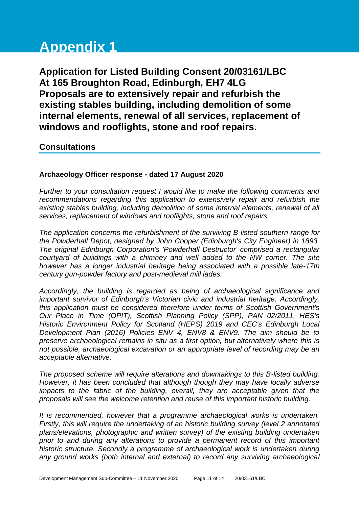# **Appendix 1**

**Application for Listed Building Consent 20/03161/LBC At 165 Broughton Road, Edinburgh, EH7 4LG Proposals are to extensively repair and refurbish the existing stables building, including demolition of some internal elements, renewal of all services, replacement of windows and rooflights, stone and roof repairs.**

# **Consultations**

# **Archaeology Officer response - dated 17 August 2020**

*Further to your consultation request I would like to make the following comments and recommendations regarding this application to extensively repair and refurbish the existing stables building, including demolition of some internal elements, renewal of all services, replacement of windows and rooflights, stone and roof repairs.*

*The application concerns the refurbishment of the surviving B-listed southern range for the Powderhall Depot, designed by John Cooper (Edinburgh's City Engineer) in 1893. The original Edinburgh Corporation's 'Powderhall Destructor' comprised a rectangular courtyard of buildings with a chimney and well added to the NW corner. The site however has a longer industrial heritage being associated with a possible late-17th century gun-powder factory and post-medieval mill lades.* 

*Accordingly, the building is regarded as being of archaeological significance and important survivor of Edinburgh's Victorian civic and industrial heritage. Accordingly, this application must be considered therefore under terms of Scottish Government's Our Place in Time (OPIT), Scottish Planning Policy (SPP), PAN 02/2011, HES's Historic Environment Policy for Scotland (HEPS) 2019 and CEC's Edinburgh Local Development Plan (2016) Policies ENV 4, ENV8 & ENV9. The aim should be to preserve archaeological remains in situ as a first option, but alternatively where this is not possible, archaeological excavation or an appropriate level of recording may be an acceptable alternative.*

*The proposed scheme will require alterations and downtakings to this B-listed building. However, it has been concluded that although though they may have locally adverse impacts to the fabric of the building, overall, they are acceptable given that the proposals will see the welcome retention and reuse of this important historic building.* 

*It is recommended, however that a programme archaeological works is undertaken. Firstly, this will require the undertaking of an historic building survey (level 2 annotated plans/elevations, photographic and written survey) of the existing building undertaken prior to and during any alterations to provide a permanent record of this important historic structure. Secondly a programme of archaeological work is undertaken during any ground works (both internal and external) to record any surviving archaeological*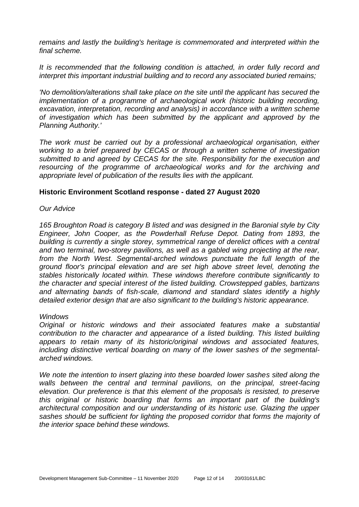*remains and lastly the building's heritage is commemorated and interpreted within the final scheme.* 

*It is recommended that the following condition is attached, in order fully record and interpret this important industrial building and to record any associated buried remains;*

*'No demolition/alterations shall take place on the site until the applicant has secured the implementation of a programme of archaeological work (historic building recording, excavation, interpretation, recording and analysis) in accordance with a written scheme of investigation which has been submitted by the applicant and approved by the Planning Authority.'* 

*The work must be carried out by a professional archaeological organisation, either working to a brief prepared by CECAS or through a written scheme of investigation submitted to and agreed by CECAS for the site. Responsibility for the execution and resourcing of the programme of archaeological works and for the archiving and appropriate level of publication of the results lies with the applicant.*

#### **Historic Environment Scotland response - dated 27 August 2020**

*Our Advice*

*165 Broughton Road is category B listed and was designed in the Baronial style by City Engineer, John Cooper, as the Powderhall Refuse Depot. Dating from 1893, the building is currently a single storey, symmetrical range of derelict offices with a central and two terminal, two-storey pavilions, as well as a gabled wing projecting at the rear,*  from the North West. Segmental-arched windows punctuate the full length of the *ground floor's principal elevation and are set high above street level, denoting the stables historically located within. These windows therefore contribute significantly to the character and special interest of the listed building. Crowstepped gables, bartizans and alternating bands of fish-scale, diamond and standard slates identify a highly detailed exterior design that are also significant to the building's historic appearance.*

#### *Windows*

*Original or historic windows and their associated features make a substantial contribution to the character and appearance of a listed building. This listed building appears to retain many of its historic/original windows and associated features, including distinctive vertical boarding on many of the lower sashes of the segmentalarched windows.*

*We note the intention to insert glazing into these boarded lower sashes sited along the*  walls between the central and terminal pavilions, on the principal, street-facing *elevation. Our preference is that this element of the proposals is resisted, to preserve this original or historic boarding that forms an important part of the building's architectural composition and our understanding of its historic use. Glazing the upper sashes should be sufficient for lighting the proposed corridor that forms the majority of the interior space behind these windows.*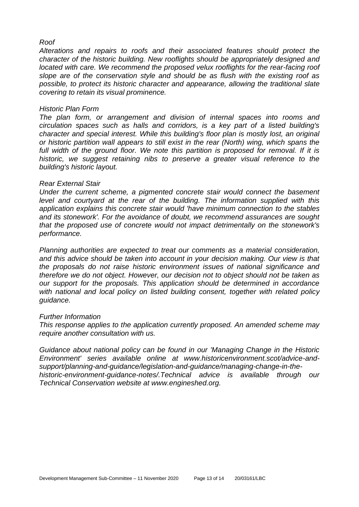#### *Roof*

*Alterations and repairs to roofs and their associated features should protect the character of the historic building. New rooflights should be appropriately designed and located with care. We recommend the proposed velux rooflights for the rear-facing roof slope are of the conservation style and should be as flush with the existing roof as possible, to protect its historic character and appearance, allowing the traditional slate covering to retain its visual prominence.*

#### *Historic Plan Form*

*The plan form, or arrangement and division of internal spaces into rooms and circulation spaces such as halls and corridors, is a key part of a listed building's character and special interest. While this building's floor plan is mostly lost, an original or historic partition wall appears to still exist in the rear (North) wing, which spans the*  full width of the ground floor. We note this partition is proposed for removal. If it is *historic, we suggest retaining nibs to preserve a greater visual reference to the building's historic layout.*

#### *Rear External Stair*

*Under the current scheme, a pigmented concrete stair would connect the basement level and courtyard at the rear of the building. The information supplied with this application explains this concrete stair would 'have minimum connection to the stables and its stonework'. For the avoidance of doubt, we recommend assurances are sought that the proposed use of concrete would not impact detrimentally on the stonework's performance.*

*Planning authorities are expected to treat our comments as a material consideration, and this advice should be taken into account in your decision making. Our view is that the proposals do not raise historic environment issues of national significance and therefore we do not object. However, our decision not to object should not be taken as our support for the proposals. This application should be determined in accordance with national and local policy on listed building consent, together with related policy guidance.*

#### *Further Information*

*This response applies to the application currently proposed. An amended scheme may require another consultation with us.*

*Guidance about national policy can be found in our 'Managing Change in the Historic Environment' series available online at www.historicenvironment.scot/advice-andsupport/planning-and-guidance/legislation-and-guidance/managing-change-in-thehistoric-environment-guidance-notes/.Technical advice is available through our Technical Conservation website at www.engineshed.org.*